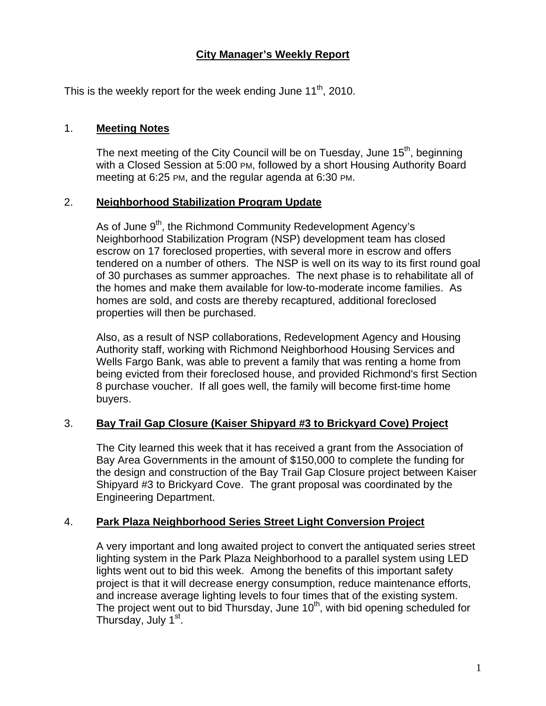# **City Manager's Weekly Report**

This is the weekly report for the week ending June  $11<sup>th</sup>$ , 2010.

#### 1. **Meeting Notes**

The next meeting of the City Council will be on Tuesday, June 15<sup>th</sup>, beginning with a Closed Session at 5:00 PM, followed by a short Housing Authority Board meeting at 6:25 PM, and the regular agenda at 6:30 PM.

### 2. **Neighborhood Stabilization Program Update**

As of June 9<sup>th</sup>, the Richmond Community Redevelopment Agency's Neighborhood Stabilization Program (NSP) development team has closed escrow on 17 foreclosed properties, with several more in escrow and offers tendered on a number of others. The NSP is well on its way to its first round goal of 30 purchases as summer approaches. The next phase is to rehabilitate all of the homes and make them available for low-to-moderate income families. As homes are sold, and costs are thereby recaptured, additional foreclosed properties will then be purchased.

Also, as a result of NSP collaborations, Redevelopment Agency and Housing Authority staff, working with Richmond Neighborhood Housing Services and Wells Fargo Bank, was able to prevent a family that was renting a home from being evicted from their foreclosed house, and provided Richmond's first Section 8 purchase voucher. If all goes well, the family will become first-time home buyers.

# 3. **Bay Trail Gap Closure (Kaiser Shipyard #3 to Brickyard Cove) Project**

The City learned this week that it has received a grant from the Association of Bay Area Governments in the amount of \$150,000 to complete the funding for the design and construction of the Bay Trail Gap Closure project between Kaiser Shipyard #3 to Brickyard Cove. The grant proposal was coordinated by the Engineering Department.

#### 4. **Park Plaza Neighborhood Series Street Light Conversion Project**

A very important and long awaited project to convert the antiquated series street lighting system in the Park Plaza Neighborhood to a parallel system using LED lights went out to bid this week. Among the benefits of this important safety project is that it will decrease energy consumption, reduce maintenance efforts, and increase average lighting levels to four times that of the existing system. The project went out to bid Thursday, June  $10<sup>th</sup>$ , with bid opening scheduled for Thursday, July 1<sup>st</sup>.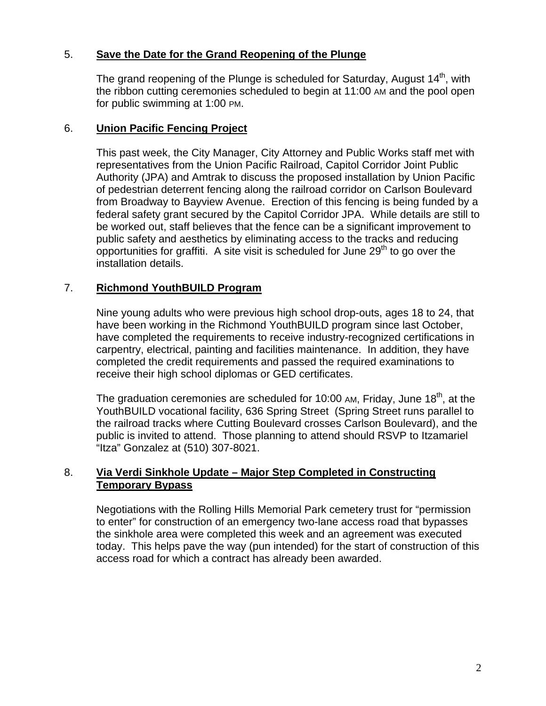## 5. **Save the Date for the Grand Reopening of the Plunge**

The grand reopening of the Plunge is scheduled for Saturday, August  $14<sup>th</sup>$ , with the ribbon cutting ceremonies scheduled to begin at 11:00 AM and the pool open for public swimming at 1:00 PM.

#### 6. **Union Pacific Fencing Project**

This past week, the City Manager, City Attorney and Public Works staff met with representatives from the Union Pacific Railroad, Capitol Corridor Joint Public Authority (JPA) and Amtrak to discuss the proposed installation by Union Pacific of pedestrian deterrent fencing along the railroad corridor on Carlson Boulevard from Broadway to Bayview Avenue. Erection of this fencing is being funded by a federal safety grant secured by the Capitol Corridor JPA. While details are still to be worked out, staff believes that the fence can be a significant improvement to public safety and aesthetics by eliminating access to the tracks and reducing opportunities for graffiti. A site visit is scheduled for June  $29<sup>th</sup>$  to go over the installation details.

### 7. **Richmond YouthBUILD Program**

Nine young adults who were previous high school drop-outs, ages 18 to 24, that have been working in the Richmond YouthBUILD program since last October, have completed the requirements to receive industry-recognized certifications in carpentry, electrical, painting and facilities maintenance. In addition, they have completed the credit requirements and passed the required examinations to receive their high school diplomas or GED certificates.

The graduation ceremonies are scheduled for 10:00 AM, Friday, June 18<sup>th</sup>, at the YouthBUILD vocational facility, 636 Spring Street (Spring Street runs parallel to the railroad tracks where Cutting Boulevard crosses Carlson Boulevard), and the public is invited to attend. Those planning to attend should RSVP to Itzamariel "Itza" Gonzalez at (510) 307-8021.

### 8. **Via Verdi Sinkhole Update – Major Step Completed in Constructing Temporary Bypass**

Negotiations with the Rolling Hills Memorial Park cemetery trust for "permission to enter" for construction of an emergency two-lane access road that bypasses the sinkhole area were completed this week and an agreement was executed today. This helps pave the way (pun intended) for the start of construction of this access road for which a contract has already been awarded.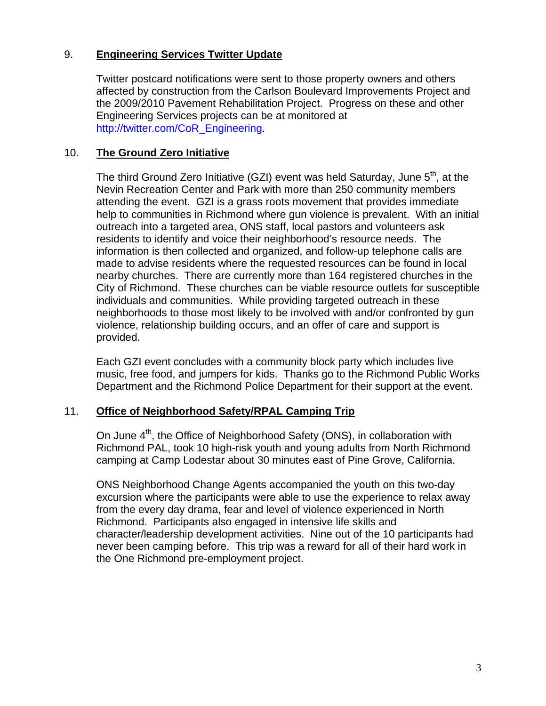## 9. **Engineering Services Twitter Update**

Twitter postcard notifications were sent to those property owners and others affected by construction from the Carlson Boulevard Improvements Project and the 2009/2010 Pavement Rehabilitation Project. Progress on these and other Engineering Services projects can be at monitored at [http://twitter.com/CoR\\_Engineering](http://twitter.com/CoR_Engineering).

#### 10. **The Ground Zero Initiative**

The third Ground Zero Initiative (GZI) event was held Saturday, June  $5<sup>th</sup>$ , at the Nevin Recreation Center and Park with more than 250 community members attending the event. GZI is a grass roots movement that provides immediate help to communities in Richmond where gun violence is prevalent. With an initial outreach into a targeted area, ONS staff, local pastors and volunteers ask residents to identify and voice their neighborhood's resource needs. The information is then collected and organized, and follow-up telephone calls are made to advise residents where the requested resources can be found in local nearby churches. There are currently more than 164 registered churches in the City of Richmond. These churches can be viable resource outlets for susceptible individuals and communities. While providing targeted outreach in these neighborhoods to those most likely to be involved with and/or confronted by gun violence, relationship building occurs, and an offer of care and support is provided.

Each GZI event concludes with a community block party which includes live music, free food, and jumpers for kids. Thanks go to the Richmond Public Works Department and the Richmond Police Department for their support at the event.

#### 11. **Office of Neighborhood Safety/RPAL Camping Trip**

On June 4<sup>th</sup>, the Office of Neighborhood Safety (ONS), in collaboration with Richmond PAL, took 10 high-risk youth and young adults from North Richmond camping at Camp Lodestar about 30 minutes east of Pine Grove, California.

ONS Neighborhood Change Agents accompanied the youth on this two-day excursion where the participants were able to use the experience to relax away from the every day drama, fear and level of violence experienced in North Richmond. Participants also engaged in intensive life skills and character/leadership development activities. Nine out of the 10 participants had never been camping before. This trip was a reward for all of their hard work in the One Richmond pre-employment project.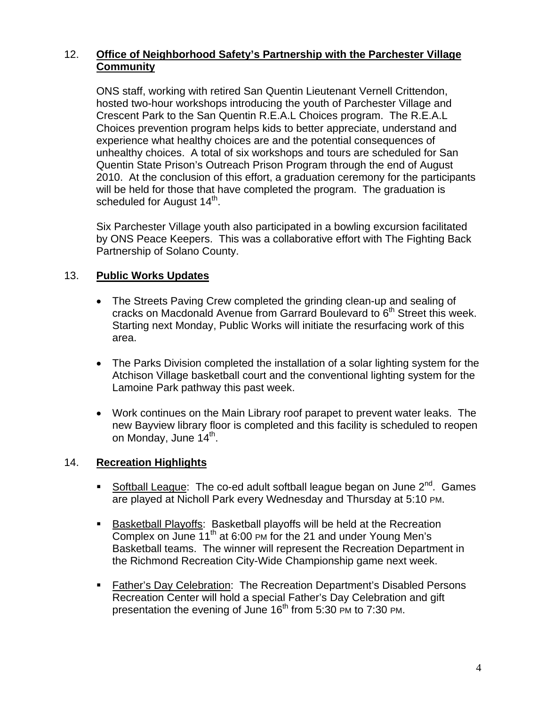# 12. **Office of Neighborhood Safety's Partnership with the Parchester Village Community**

ONS staff, working with retired San Quentin Lieutenant Vernell Crittendon, hosted two-hour workshops introducing the youth of Parchester Village and Crescent Park to the San Quentin R.E.A.L Choices program. The R.E.A.L Choices prevention program helps kids to better appreciate, understand and experience what healthy choices are and the potential consequences of unhealthy choices. A total of six workshops and tours are scheduled for San Quentin State Prison's Outreach Prison Program through the end of August 2010. At the conclusion of this effort, a graduation ceremony for the participants will be held for those that have completed the program. The graduation is scheduled for August 14<sup>th</sup>.

Six Parchester Village youth also participated in a bowling excursion facilitated by ONS Peace Keepers. This was a collaborative effort with The Fighting Back Partnership of Solano County.

# 13. **Public Works Updates**

- The Streets Paving Crew completed the grinding clean-up and sealing of cracks on Macdonald Avenue from Garrard Boulevard to  $6<sup>th</sup>$  Street this week. Starting next Monday, Public Works will initiate the resurfacing work of this area.
- The Parks Division completed the installation of a solar lighting system for the Atchison Village basketball court and the conventional lighting system for the Lamoine Park pathway this past week.
- Work continues on the Main Library roof parapet to prevent water leaks. The new Bayview library floor is completed and this facility is scheduled to reopen on Monday, June 14<sup>th</sup>.

# 14. **Recreation Highlights**

- Softball League: The co-ed adult softball league began on June  $2^{nd}$ . Games are played at Nicholl Park every Wednesday and Thursday at 5:10 PM.
- **Basketball Playoffs: Basketball playoffs will be held at the Recreation** Complex on June 11<sup>th</sup> at 6:00 PM for the 21 and under Young Men's Basketball teams. The winner will represent the Recreation Department in the Richmond Recreation City-Wide Championship game next week.
- Father's Day Celebration: The Recreation Department's Disabled Persons Recreation Center will hold a special Father's Day Celebration and gift presentation the evening of June  $16<sup>th</sup>$  from 5:30 PM to 7:30 PM.